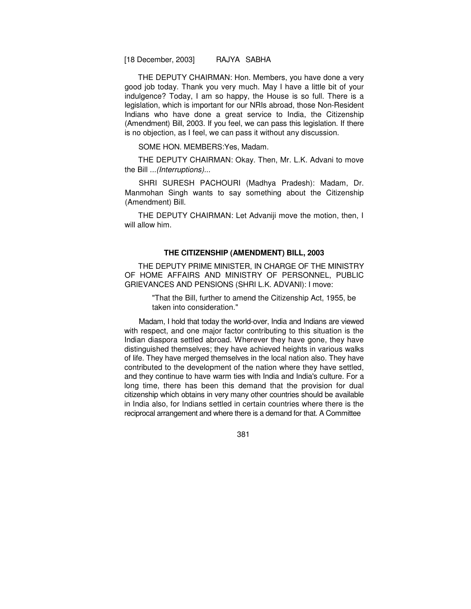THE DEPUTY CHAIRMAN: Hon. Members, you have done a very good job today. Thank you very much. May I have a little bit of your indulgence? Today, I am so happy, the House is so full. There is a legislation, which is important for our NRIs abroad, those Non-Resident Indians who have done a great service to India, the Citizenship (Amendment) Bill, 2003. If you feel, we can pass this legislation. If there is no objection, as I feel, we can pass it without any discussion.

SOME HON. MEMBERS:Yes, Madam.

THE DEPUTY CHAIRMAN: Okay. Then, Mr. L.K. Advani to move the Bill ...(Interruptions)...

SHRI SURESH PACHOURI (Madhya Pradesh): Madam, Dr. Manmohan Singh wants to say something about the Citizenship (Amendment) Bill.

THE DEPUTY CHAIRMAN: Let Advaniji move the motion, then, I will allow him.

### **THE CITIZENSHIP (AMENDMENT) BILL, 2003**

THE DEPUTY PRIME MINISTER, IN CHARGE OF THE MINISTRY OF HOME AFFAIRS AND MINISTRY OF PERSONNEL, PUBLIC GRIEVANCES AND PENSIONS (SHRI L.K. ADVANI): I move:

> "That the Bill, further to amend the Citizenship Act, 1955, be taken into consideration."

Madam, I hold that today the world-over, India and Indians are viewed with respect, and one major factor contributing to this situation is the Indian diaspora settled abroad. Wherever they have gone, they have distinguished themselves; they have achieved heights in various walks of life. They have merged themselves in the local nation also. They have contributed to the development of the nation where they have settled, and they continue to have warm ties with India and India's culture. For a long time, there has been this demand that the provision for dual citizenship which obtains in very many other countries should be available in India also, for Indians settled in certain countries where there is the reciprocal arrangement and where there is a demand for that. A Committee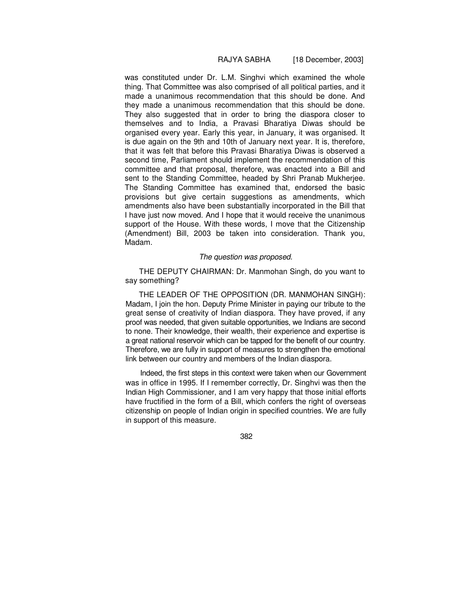was constituted under Dr. L.M. Singhvi which examined the whole thing. That Committee was also comprised of all political parties, and it made a unanimous recommendation that this should be done. And they made a unanimous recommendation that this should be done. They also suggested that in order to bring the diaspora closer to themselves and to India, a Pravasi Bharatiya Diwas should be organised every year. Early this year, in January, it was organised. It is due again on the 9th and 10th of January next year. It is, therefore, that it was felt that before this Pravasi Bharatiya Diwas is observed a second time, Parliament should implement the recommendation of this committee and that proposal, therefore, was enacted into a Bill and sent to the Standing Committee, headed by Shri Pranab Mukherjee. The Standing Committee has examined that, endorsed the basic provisions but give certain suggestions as amendments, which amendments also have been substantially incorporated in the Bill that I have just now moved. And I hope that it would receive the unanimous support of the House. With these words, I move that the Citizenship (Amendment) Bill, 2003 be taken into consideration. Thank you, Madam.

### The question was proposed.

THE DEPUTY CHAIRMAN: Dr. Manmohan Singh, do you want to say something?

THE LEADER OF THE OPPOSITION (DR. MANMOHAN SINGH): Madam, I join the hon. Deputy Prime Minister in paying our tribute to the great sense of creativity of Indian diaspora. They have proved, if any proof was needed, that given suitable opportunities, we Indians are second to none. Their knowledge, their wealth, their experience and expertise is a great national reservoir which can be tapped for the benefit of our country. Therefore, we are fully in support of measures to strengthen the emotional link between our country and members of the Indian diaspora.

Indeed, the first steps in this context were taken when our Government was in office in 1995. If I remember correctly, Dr. Singhvi was then the Indian High Commissioner, and I am very happy that those initial efforts have fructified in the form of a Bill, which confers the right of overseas citizenship on people of Indian origin in specified countries. We are fully in support of this measure.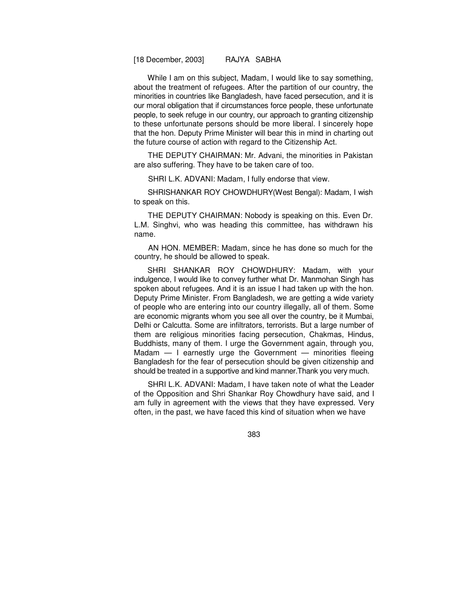While I am on this subject, Madam, I would like to say something, about the treatment of refugees. After the partition of our country, the minorities in countries like Bangladesh, have faced persecution, and it is our moral obligation that if circumstances force people, these unfortunate people, to seek refuge in our country, our approach to granting citizenship to these unfortunate persons should be more liberal. I sincerely hope that the hon. Deputy Prime Minister will bear this in mind in charting out the future course of action with regard to the Citizenship Act.

THE DEPUTY CHAIRMAN: Mr. Advani, the minorities in Pakistan are also suffering. They have to be taken care of too.

SHRI L.K. ADVANI: Madam, I fully endorse that view.

SHRISHANKAR ROY CHOWDHURY(West Bengal): Madam, I wish to speak on this.

THE DEPUTY CHAIRMAN: Nobody is speaking on this. Even Dr. L.M. Singhvi, who was heading this committee, has withdrawn his name.

AN HON. MEMBER: Madam, since he has done so much for the country, he should be allowed to speak.

SHRI SHANKAR ROY CHOWDHURY: Madam, with your indulgence, I would like to convey further what Dr. Manmohan Singh has spoken about refugees. And it is an issue I had taken up with the hon. Deputy Prime Minister. From Bangladesh, we are getting a wide variety of people who are entering into our country illegally, all of them. Some are economic migrants whom you see all over the country, be it Mumbai, Delhi or Calcutta. Some are infiltrators, terrorists. But a large number of them are religious minorities facing persecution, Chakmas, Hindus, Buddhists, many of them. I urge the Government again, through you, Madam  $-$  I earnestly urge the Government  $-$  minorities fleeing Bangladesh for the fear of persecution should be given citizenship and should be treated in a supportive and kind manner.Thank you very much.

SHRI L.K. ADVANI: Madam, I have taken note of what the Leader of the Opposition and Shri Shankar Roy Chowdhury have said, and I am fully in agreement with the views that they have expressed. Very often, in the past, we have faced this kind of situation when we have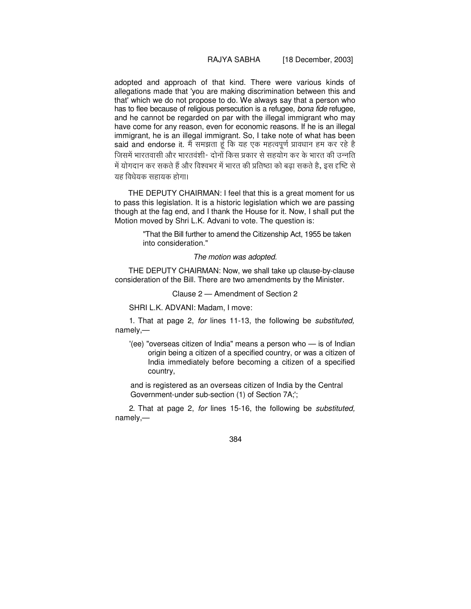## RAJYA SABHA [18 December, 2003]

adopted and approach of that kind. There were various kinds of allegations made that 'you are making discrimination between this and that' which we do not propose to do. We always say that a person who has to flee because of religious persecution is a refugee, bona fide refugee, and he cannot be regarded on par with the illegal immigrant who may have come for any reason, even for economic reasons. If he is an illegal immigrant, he is an illegal immigrant. So, I take note of what has been said and endorse it. मै समझता हूं कि यह एक महत्वपूर्ण प्रावधान हम कर रहे है जिसमें भारतवासी और भारतवंशी- दोनों किस प्रकार से सहयोग कर के भारत की उन्नति में योगदान कर सकते हैं और विश्वभर में भारत की प्रतिष्ठा को बढ़ा सकते हैं, इस दृष्टि से यह विधेयक सहायक होगा।

THE DEPUTY CHAIRMAN: I feel that this is a great moment for us to pass this legislation. It is a historic legislation which we are passing though at the fag end, and I thank the House for it. Now, I shall put the Motion moved by Shri L.K. Advani to vote. The question is:

> "That the Bill further to amend the Citizenship Act, 1955 be taken into consideration."

### The motion was adopted.

THE DEPUTY CHAIRMAN: Now, we shall take up clause-by-clause consideration of the Bill. There are two amendments by the Minister.

Clause 2 — Amendment of Section 2

SHRI L.K. ADVANI: Madam, I move:

1. That at page 2, for lines 11-13, the following be substituted, namely,—

'(ee) "overseas citizen of India" means a person who — is of Indian origin being a citizen of a specified country, or was a citizen of India immediately before becoming a citizen of a specified country,

and is registered as an overseas citizen of India by the Central Government-under sub-section (1) of Section 7A;';

2. That at page 2, for lines 15-16, the following be substituted, namely,—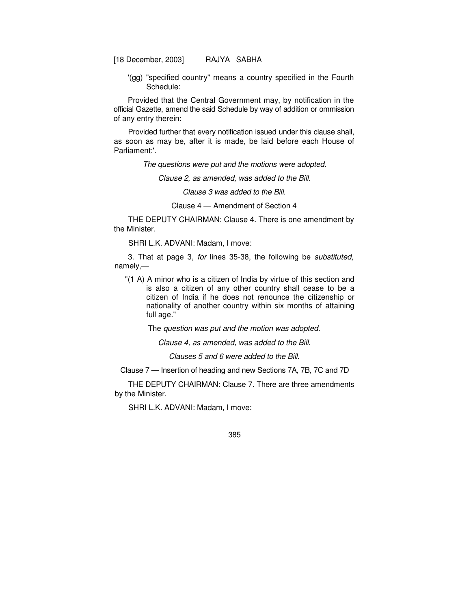'(gg) "specified country" means a country specified in the Fourth Schedule:

Provided that the Central Government may, by notification in the official Gazette, amend the said Schedule by way of addition or ommission of any entry therein:

Provided further that every notification issued under this clause shall, as soon as may be, after it is made, be laid before each House of Parliament;'.

The questions were put and the motions were adopted.

Clause 2, as amended, was added to the Bill.

Clause 3 was added to the Bill.

Clause 4 — Amendment of Section 4

THE DEPUTY CHAIRMAN: Clause 4. There is one amendment by the Minister.

SHRI L.K. ADVANI: Madam, I move:

3. That at page 3, for lines 35-38, the following be substituted, namely,—

"(1 A) A minor who is a citizen of India by virtue of this section and is also a citizen of any other country shall cease to be a citizen of India if he does not renounce the citizenship or nationality of another country within six months of attaining full age."

The question was put and the motion was adopted.

Clause 4, as amended, was added to the Bill.

Clauses 5 and 6 were added to the Bill.

Clause 7 — Insertion of heading and new Sections 7A, 7B, 7C and 7D

THE DEPUTY CHAIRMAN: Clause 7. There are three amendments by the Minister.

SHRI L.K. ADVANI: Madam, I move: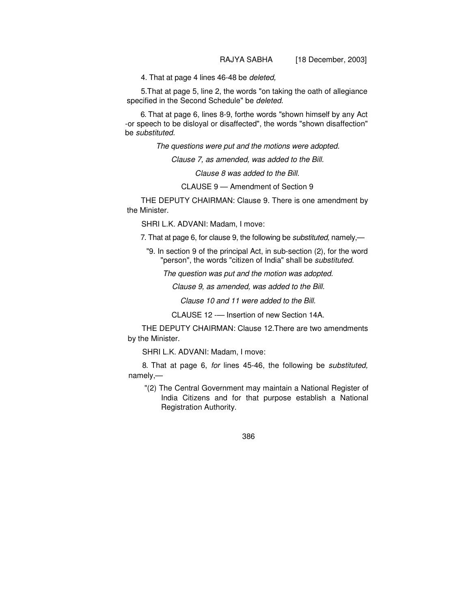4. That at page 4 lines 46-48 be deleted,

5.That at page 5, line 2, the words "on taking the oath of allegiance specified in the Second Schedule" be deleted.

6. That at page 6, lines 8-9, forthe words "shown himself by any Act -or speech to be disloyal or disaffected", the words "shown disaffection" be substituted.

The questions were put and the motions were adopted.

Clause 7, as amended, was added to the Bill.

Clause 8 was added to the Bill.

CLAUSE 9 — Amendment of Section 9

THE DEPUTY CHAIRMAN: Clause 9. There is one amendment by the Minister.

SHRI L.K. ADVANI: Madam, I move:

7. That at page 6, for clause 9, the following be *substituted*, namely,—

"9. In section 9 of the principal Act, in sub-section (2), for the word "person", the words "citizen of India" shall be substituted.

The question was put and the motion was adopted.

Clause 9, as amended, was added to the Bill.

Clause 10 and 11 were added to the Bill.

CLAUSE 12 -— Insertion of new Section 14A.

THE DEPUTY CHAIRMAN: Clause 12.There are two amendments by the Minister.

SHRI L.K. ADVANI: Madam, I move:

8. That at page 6, for lines 45-46, the following be substituted, namely,—

"(2) The Central Government may maintain a National Register of India Citizens and for that purpose establish a National Registration Authority.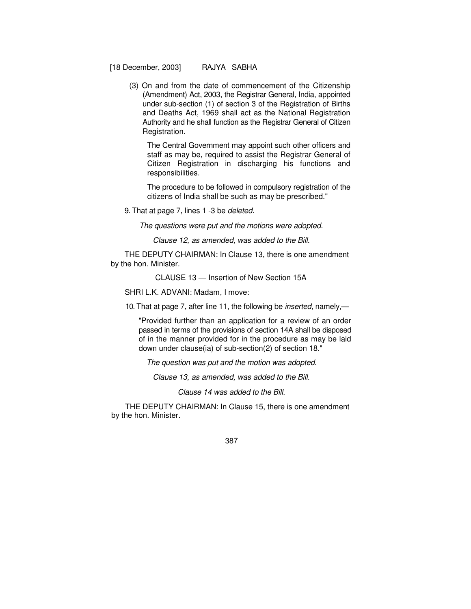(3) On and from the date of commencement of the Citizenship (Amendment) Act, 2003, the Registrar General, India, appointed under sub-section (1) of section 3 of the Registration of Births and Deaths Act, 1969 shall act as the National Registration Authority and he shall function as the Registrar General of Citizen Registration.

The Central Government may appoint such other officers and staff as may be, required to assist the Registrar General of Citizen Registration in discharging his functions and responsibilities.

The procedure to be followed in compulsory registration of the citizens of India shall be such as may be prescribed."

9. That at page 7, lines 1 -3 be deleted.

The questions were put and the motions were adopted.

Clause 12, as amended, was added to the Bill.

THE DEPUTY CHAIRMAN: In Clause 13, there is one amendment by the hon. Minister.

CLAUSE 13 — Insertion of New Section 15A

SHRI L.K. ADVANI: Madam, I move:

10. That at page 7, after line 11, the following be inserted, namely,—

"Provided further than an application for a review of an order passed in terms of the provisions of section 14A shall be disposed of in the manner provided for in the procedure as may be laid down under clause(ia) of sub-section(2) of section 18."

The question was put and the motion was adopted.

Clause 13, as amended, was added to the Bill.

Clause 14 was added to the Bill.

THE DEPUTY CHAIRMAN: In Clause 15, there is one amendment by the hon. Minister.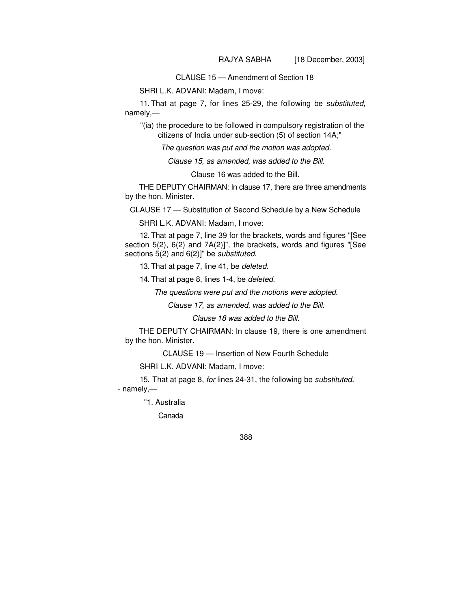CLAUSE 15 — Amendment of Section 18

SHRI L.K. ADVANI: Madam, I move:

11. That at page 7, for lines 25-29, the following be substituted, namely,—

"(ia) the procedure to be followed in compulsory registration of the citizens of India under sub-section (5) of section 14A;"

The question was put and the motion was adopted.

Clause 15, as amended, was added to the Bill.

Clause 16 was added to the Bill.

THE DEPUTY CHAIRMAN: In clause 17, there are three amendments by the hon. Minister.

CLAUSE 17 — Substitution of Second Schedule by a New Schedule

SHRI L.K. ADVANI: Madam, I move:

12. That at page 7, line 39 for the brackets, words and figures "[See section 5(2), 6(2) and 7A(2)]", the brackets, words and figures "[See sections 5(2) and 6(2)]" be *substituted*.

13. That at page 7, line 41, be deleted.

14. That at page 8, lines 1-4, be deleted.

The questions were put and the motions were adopted.

Clause 17, as amended, was added to the Bill.

Clause 18 was added to the Bill.

THE DEPUTY CHAIRMAN: In clause 19, there is one amendment by the hon. Minister.

CLAUSE 19 — Insertion of New Fourth Schedule

SHRI L.K. ADVANI: Madam, I move:

15. That at page 8, for lines 24-31, the following be substituted, - namely,—

"1. Australia

Canada